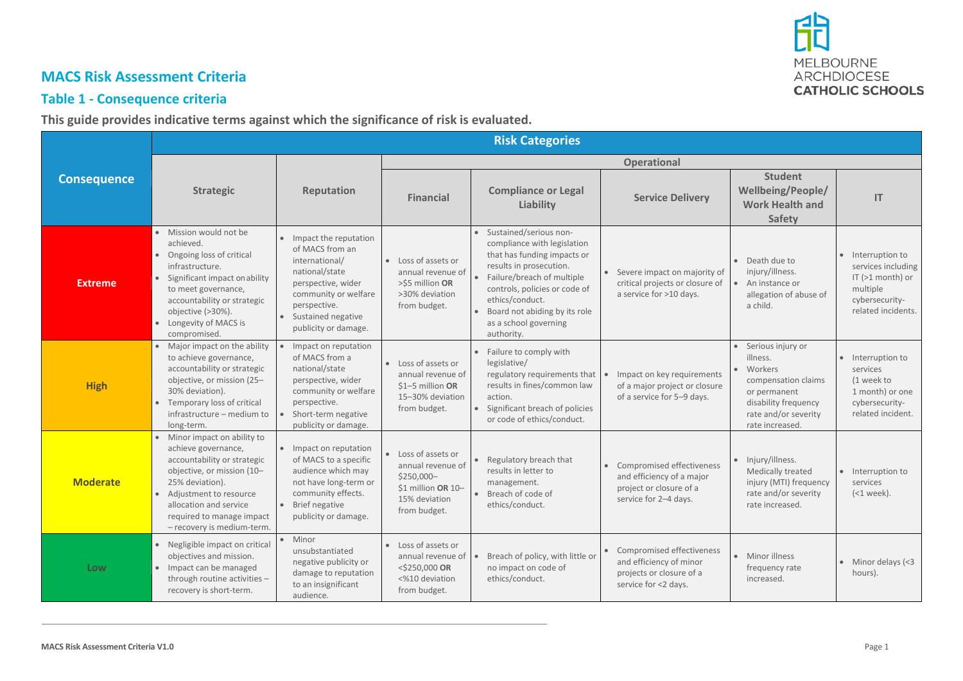

# **MACS Risk Assessment Criteria**

#### **Table 1 - Consequence criteria**

**This guide provides indicative terms against which the significance of risk is evaluated.**

|                    | <b>Risk Categories</b>                                                                                                                                                                                                                               |                                                                                                                                                                                              |                                                                                                             |                                                                                                                                                                                                                                                                             |                                                                                                            |                                                                                                                                                        |                                                                                                               |
|--------------------|------------------------------------------------------------------------------------------------------------------------------------------------------------------------------------------------------------------------------------------------------|----------------------------------------------------------------------------------------------------------------------------------------------------------------------------------------------|-------------------------------------------------------------------------------------------------------------|-----------------------------------------------------------------------------------------------------------------------------------------------------------------------------------------------------------------------------------------------------------------------------|------------------------------------------------------------------------------------------------------------|--------------------------------------------------------------------------------------------------------------------------------------------------------|---------------------------------------------------------------------------------------------------------------|
| <b>Consequence</b> |                                                                                                                                                                                                                                                      |                                                                                                                                                                                              | <b>Operational</b>                                                                                          |                                                                                                                                                                                                                                                                             |                                                                                                            |                                                                                                                                                        |                                                                                                               |
|                    | <b>Strategic</b>                                                                                                                                                                                                                                     | Reputation                                                                                                                                                                                   | <b>Financial</b>                                                                                            | <b>Compliance or Legal</b><br>Liability                                                                                                                                                                                                                                     | <b>Service Delivery</b>                                                                                    | <b>Student</b><br>Wellbeing/People/<br><b>Work Health and</b><br>Safety                                                                                | IT                                                                                                            |
| <b>Extreme</b>     | · Mission would not be<br>achieved.<br>• Ongoing loss of critical<br>infrastructure.<br>• Significant impact on ability<br>to meet governance,<br>accountability or strategic<br>objective (>30%).<br>• Longevity of MACS is<br>compromised.         | • Impact the reputation<br>of MACS from an<br>international/<br>national/state<br>perspective, wider<br>community or welfare<br>perspective.<br>· Sustained negative<br>publicity or damage. | • Loss of assets or<br>annual revenue of<br>>\$5 million OR<br>>30% deviation<br>from budget.               | • Sustained/serious non-<br>compliance with legislation<br>that has funding impacts or<br>results in prosecution.<br>Failure/breach of multiple<br>controls, policies or code of<br>ethics/conduct.<br>Board not abiding by its role<br>as a school governing<br>authority. | • Severe impact on majority of<br>critical projects or closure of<br>a service for >10 days.               | • Death due to<br>injury/illness.<br>An instance or<br>allegation of abuse of<br>a child.                                                              | Interruption to<br>services including<br>IT (>1 month) or<br>multiple<br>cybersecurity-<br>related incidents. |
| <b>High</b>        | • Major impact on the ability<br>to achieve governance,<br>accountability or strategic<br>objective, or mission (25-<br>30% deviation).<br>Temporary loss of critical<br>infrastructure - medium to<br>long-term.                                    | Impact on reputation<br>of MACS from a<br>national/state<br>perspective, wider<br>community or welfare<br>perspective.<br>Short-term negative<br>publicity or damage.                        | Loss of assets or<br>annual revenue of<br>$$1-5$ million OR<br>15-30% deviation<br>from budget.             | Failure to comply with<br>legislative/<br>regulatory requirements that<br>results in fines/common law<br>action.<br>Significant breach of policies<br>or code of ethics/conduct.                                                                                            | Impact on key requirements<br>of a major project or closure<br>of a service for 5-9 days.                  | • Serious injury or<br>illness.<br>• Workers<br>compensation claims<br>or permanent<br>disability frequency<br>rate and/or severity<br>rate increased. | · Interruption to<br>services<br>(1 week to<br>1 month) or one<br>cybersecurity-<br>related incident.         |
| <b>Moderate</b>    | • Minor impact on ability to<br>achieve governance,<br>accountability or strategic<br>objective, or mission (10-<br>25% deviation).<br>• Adjustment to resource<br>allocation and service<br>required to manage impact<br>- recovery is medium-term. | • Impact on reputation<br>of MACS to a specific<br>audience which may<br>not have long-term or<br>community effects.<br>• Brief negative<br>publicity or damage.                             | Loss of assets or<br>annual revenue of<br>\$250,000-<br>\$1 million OR 10-<br>15% deviation<br>from budget. | Regulatory breach that<br>results in letter to<br>management.<br>Breach of code of<br>ethics/conduct.                                                                                                                                                                       | Compromised effectiveness<br>and efficiency of a major<br>project or closure of a<br>service for 2-4 days. | · Injury/illness.<br>Medically treated<br>injury (MTI) frequency<br>rate and/or severity<br>rate increased.                                            | • Interruption to<br>services<br>$(<$ 1 week).                                                                |
| Low                | • Negligible impact on critical<br>objectives and mission.<br>Impact can be managed<br>through routine activities -<br>recovery is short-term.                                                                                                       | · Minor<br>unsubstantiated<br>negative publicity or<br>damage to reputation<br>to an insignificant<br>audience.                                                                              | Loss of assets or<br>annual revenue of<br><\$250,000 OR<br><%10 deviation<br>from budget.                   | Breach of policy, with little or<br>no impact on code of<br>ethics/conduct.                                                                                                                                                                                                 | Compromised effectiveness<br>and efficiency of minor<br>projects or closure of a<br>service for <2 days.   | • Minor illness<br>frequency rate<br>increased.                                                                                                        | $\bullet$ Minor delays (<3<br>hours).                                                                         |